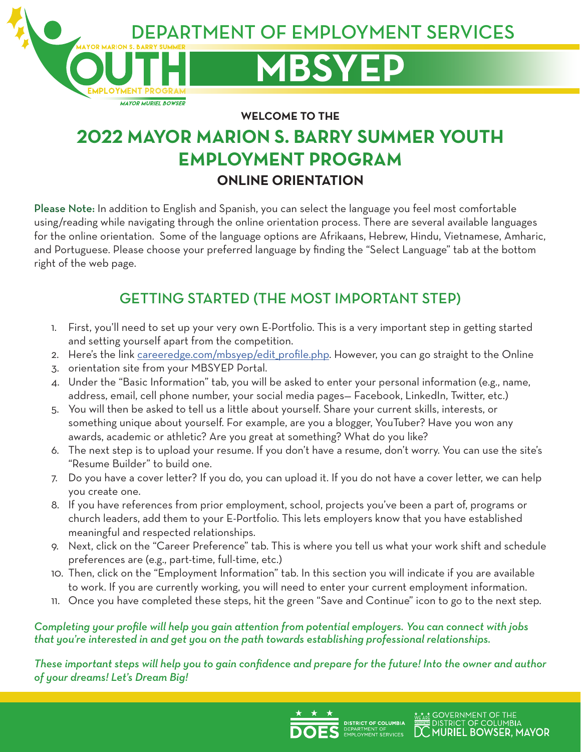**MBSYEP**

EPARTMENT OF EMPLOYMENT SERVICES

**WELCOME TO THE**

# **2022 MAYOR MARION S. BARRY SUMMER YOUTH EMPLOYMENT PROGRAM ONLINE ORIENTATION**

Please Note: In addition to English and Spanish, you can select the language you feel most comfortable using/reading while navigating through the online orientation process. There are several available languages for the online orientation. Some of the language options are Afrikaans, Hebrew, Hindu, Vietnamese, Amharic, and Portuguese. Please choose your preferred language by finding the "Select Language" tab at the bottom right of the web page.

## GETTING STARTED (THE MOST IMPORTANT STEP)

- 1. First, you'll need to set up your very own E-Portfolio. This is a very important step in getting started and setting yourself apart from the competition.
- 2. Here's the link [careeredge.com/mbsyep/edit\\_profile.php.](mailto:https://careeredge.com/mbsyep/2020/index.php?subject=) However, you can go straight to the Online
- 3. orientation site from your MBSYEP Portal.

**MAYOR MURIEL BOWSER** 

- 4. Under the "Basic Information" tab, you will be asked to enter your personal information (e.g., name, address, email, cell phone number, your social media pages— Facebook, LinkedIn, Twitter, etc.)
- 5. You will then be asked to tell us a little about yourself. Share your current skills, interests, or something unique about yourself. For example, are you a blogger, YouTuber? Have you won any awards, academic or athletic? Are you great at something? What do you like?
- 6. The next step is to upload your resume. If you don't have a resume, don't worry. You can use the site's "Resume Builder" to build one.
- 7. Do you have a cover letter? If you do, you can upload it. If you do not have a cover letter, we can help you create one.
- 8. If you have references from prior employment, school, projects you've been a part of, programs or church leaders, add them to your E-Portfolio. This lets employers know that you have established meaningful and respected relationships.
- 9. Next, click on the "Career Preference" tab. This is where you tell us what your work shift and schedule preferences are (e.g., part-time, full-time, etc.)
- 10. Then, click on the "Employment Information" tab. In this section you will indicate if you are available to work. If you are currently working, you will need to enter your current employment information.
- 11. Once you have completed these steps, hit the green "Save and Continue" icon to go to the next step.

## *Completing your profile will help you gain attention from potential employers. You can connect with jobs that you're interested in and get you on the path towards establishing professional relationships.*

*These important steps will help you to gain confidence and prepare for the future! Into the owner and author of your dreams! Let's Dream Big!*

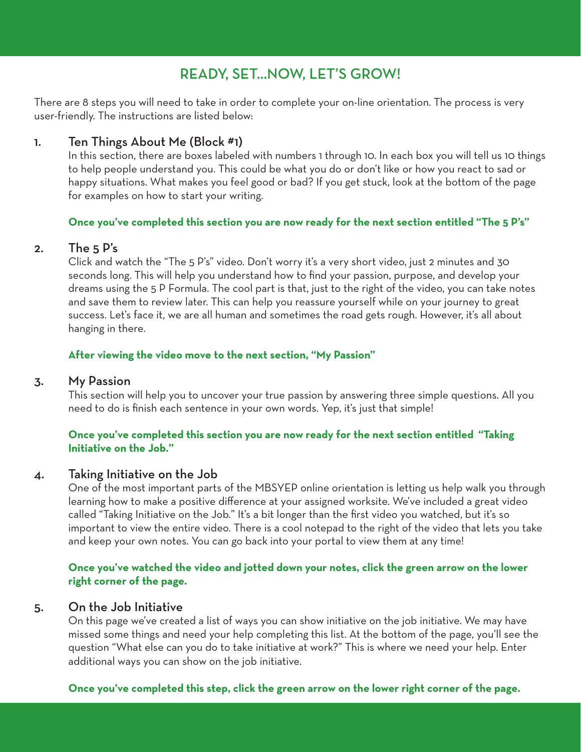## READY, SET…NOW, LET'S GROW!

There are 8 steps you will need to take in order to complete your on-line orientation. The process is very user-friendly. The instructions are listed below:

## 1. Ten Things About Me (Block #1)

In this section, there are boxes labeled with numbers 1 through 10. In each box you will tell us 10 things to help people understand you. This could be what you do or don't like or how you react to sad or happy situations. What makes you feel good or bad? If you get stuck, look at the bottom of the page for examples on how to start your writing.

#### **Once you've completed this section you are now ready for the next section entitled "The 5 P's"**

#### 2. The 5 P's

Click and watch the "The 5 P's" video. Don't worry it's a very short video, just 2 minutes and 30 seconds long. This will help you understand how to find your passion, purpose, and develop your dreams using the 5 P Formula. The cool part is that, just to the right of the video, you can take notes and save them to review later. This can help you reassure yourself while on your journey to great success. Let's face it, we are all human and sometimes the road gets rough. However, it's all about hanging in there.

#### **After viewing the video move to the next section, "My Passion"**

#### 3. My Passion

This section will help you to uncover your true passion by answering three simple questions. All you need to do is finish each sentence in your own words. Yep, it's just that simple!

#### **Once you've completed this section you are now ready for the next section entitled "Taking Initiative on the Job."**

#### 4. Taking Initiative on the Job

One of the most important parts of the MBSYEP online orientation is letting us help walk you through learning how to make a positive difference at your assigned worksite. We've included a great video called "Taking Initiative on the Job." It's a bit longer than the first video you watched, but it's so important to view the entire video. There is a cool notepad to the right of the video that lets you take and keep your own notes. You can go back into your portal to view them at any time!

#### **Once you've watched the video and jotted down your notes, click the green arrow on the lower right corner of the page.**

#### 5. On the Job Initiative

On this page we've created a list of ways you can show initiative on the job initiative. We may have missed some things and need your help completing this list. At the bottom of the page, you'll see the question "What else can you do to take initiative at work?" This is where we need your help. Enter additional ways you can show on the job initiative.

#### **Once you've completed this step, click the green arrow on the lower right corner of the page.**